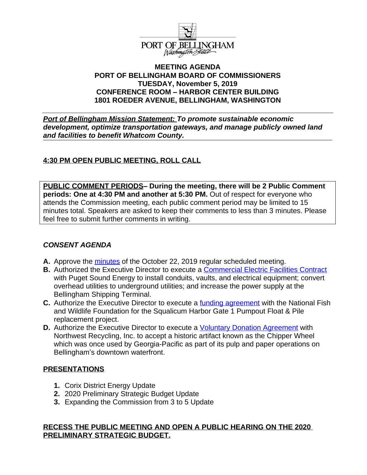

### **MEETING AGENDA PORT OF BELLINGHAM BOARD OF COMMISSIONERS TUESDAY, November 5, 2019 CONFERENCE ROOM – HARBOR CENTER BUILDING 1801 ROEDER AVENUE, BELLINGHAM, WASHINGTON**

*Port of Bellingham Mission Statement: To promote sustainable economic development, optimize transportation gateways, and manage publicly owned land and facilities to benefit Whatcom County.*

# **4:30 PM OPEN PUBLIC MEETING, ROLL CALL**

**PUBLIC COMMENT PERIODS– During the meeting, there will be 2 Public Comment periods: One at 4:30 PM and another at 5:30 PM.** Out of respect for everyone who attends the Commission meeting, each public comment period may be limited to 15 minutes total. Speakers are asked to keep their comments to less than 3 minutes. Please feel free to submit further comments in writing.

# *CONSENT AGENDA*

- **A.** Approve the [minutes](https://www.portofbellingham.com/DocumentCenter/View/8826/CA-Item-A) of the October 22, 2019 regular scheduled meeting.
- **B.** Authorized the Executive Director to execute a **Commercial Electric Facilities Contract** with Puget Sound Energy to install conduits, vaults, and electrical equipment; convert overhead utilities to underground utilities; and increase the power supply at the Bellingham Shipping Terminal.
- **C.** Authorize the Executive Director to execute a <u>funding agreement</u> with the National Fish and Wildlife Foundation for the Squalicum Harbor Gate 1 Pumpout Float & Pile replacement project.
- **D.** Authorize the Executive Director to execute a *Voluntary Donation Agreement* with Northwest Recycling, Inc. to accept a historic artifact known as the Chipper Wheel which was once used by Georgia-Pacific as part of its pulp and paper operations on Bellingham's downtown waterfront.

### **PRESENTATIONS**

- **1.** Corix District Energy Update
- **2.** 2020 Preliminary Strategic Budget Update
- **3.** Expanding the Commission from 3 to 5 Update

### **RECESS THE PUBLIC MEETING AND OPEN A PUBLIC HEARING ON THE 2020 PRELIMINARY STRATEGIC BUDGET.**